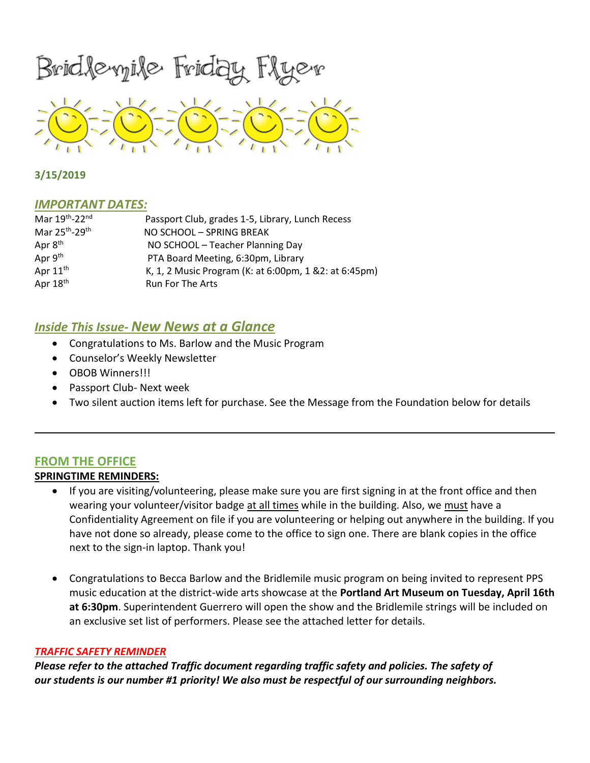Bridlevyile Friday Flyev



**3/15/2019**

## *IMPORTANT DATES:*

| Mar 19th-22nd                          | Passport Club, grades 1-5, Library, Lunch Recess       |
|----------------------------------------|--------------------------------------------------------|
| Mar 25 <sup>th</sup> -29 <sup>th</sup> | NO SCHOOL - SPRING BREAK                               |
| Apr 8 <sup>th</sup>                    | NO SCHOOL - Teacher Planning Day                       |
| Apr 9th                                | PTA Board Meeting, 6:30pm, Library                     |
| Apr 11 <sup>th</sup>                   | K, 1, 2 Music Program (K: at 6:00pm, 1 & 2: at 6:45pm) |
| Apr 18th                               | <b>Run For The Arts</b>                                |

# *Inside This Issue- New News at a Glance*

- Congratulations to Ms. Barlow and the Music Program
- Counselor's Weekly Newsletter
- OBOB Winners!!!
- Passport Club- Next week
- Two silent auction items left for purchase. See the Message from the Foundation below for details

# **FROM THE OFFICE**

# **SPRINGTIME REMINDERS:**

- If you are visiting/volunteering, please make sure you are first signing in at the front office and then wearing your volunteer/visitor badge at all times while in the building. Also, we must have a Confidentiality Agreement on file if you are volunteering or helping out anywhere in the building. If you have not done so already, please come to the office to sign one. There are blank copies in the office next to the sign-in laptop. Thank you!
- Congratulations to Becca Barlow and the Bridlemile music program on being invited to represent PPS music education at the district-wide arts showcase at the **Portland Art Museum on Tuesday, April 16th at 6:30pm**. Superintendent Guerrero will open the show and the Bridlemile strings will be included on an exclusive set list of performers. Please see the attached letter for details.

## *TRAFFIC SAFETY REMINDER*

*Please refer to the attached Traffic document regarding traffic safety and policies. The safety of our students is our number #1 priority! We also must be respectful of our surrounding neighbors.*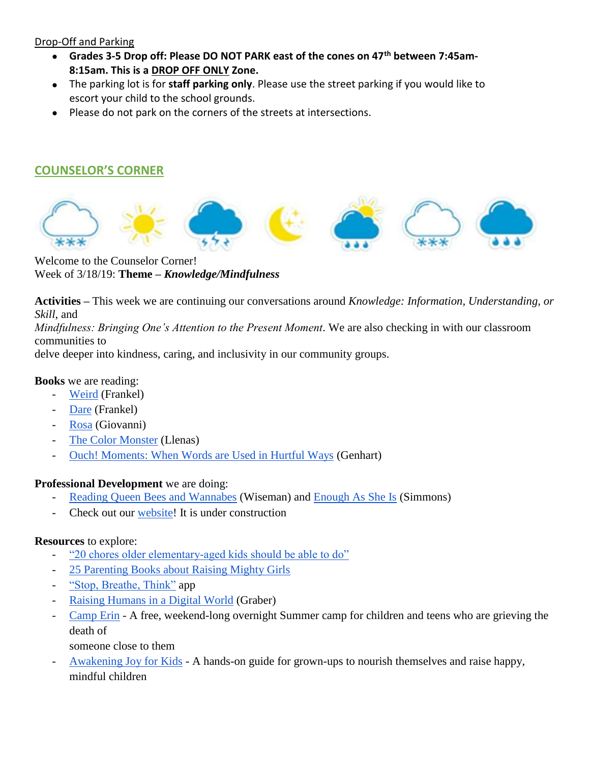# Drop-Off and Parking

- **Grades 3-5 Drop off: Please DO NOT PARK east of the cones on 47th between 7:45am-8:15am. This is a DROP OFF ONLY Zone.**
- The parking lot is for **staff parking only**. Please use the street parking if you would like to escort your child to the school grounds.
- Please do not park on the corners of the streets at intersections.

# **COUNSELOR'S CORNER**



Welcome to the Counselor Corner! Week of 3/18/19: **Theme –** *Knowledge/Mindfulness*

**Activities –** This week we are continuing our conversations around *Knowledge: Information, Understanding, or Skill*, and

*Mindfulness: Bringing One's Attention to the Present Moment*. We are also checking in with our classroom communities to

delve deeper into kindness, caring, and inclusivity in our community groups.

## **Books** we are reading:

- [Weird](https://theweirdseries.com/photographs) (Frankel)
- [Dare](https://www.amazon.com/s?k=Dare+by+Frankel&ref=nb_sb_noss_2) (Frankel)
- [Rosa](https://www.scholastic.com/teachers/books/rosa-by-nikki-giovanni/) (Giovanni)
- [The Color Monster](https://www.amazon.com/Color-Monster-Pop-Up-Book-Feelings/dp/1454917296/ref=sr_1_1?keywords=the+color+monster&qid=1552418512&s=gateway&sr=8-1) (Llenas)
- [Ouch! Moments: When Words are Used in Hurtful Ways](https://www.amazon.com/Ouch-Moments-When-Words-Hurtful/dp/1433819627/ref=sr_1_fkmrnull_1?crid=3TULHHTZMQZ1A&keywords=ouch+moments+when+words+are+used+in+hurtful+ways&qid=1552066285&s=gateway&sprefix=ouch+mom%2Caps%2C180&sr=8-1-fkmrnull) (Genhart)

## **Professional Development** we are doing:

- [Reading Queen Bees and Wannabes](https://www.amazon.com/Queen-Bees-Wannabes-3rd-Realities/dp/1101903058/ref=sr_1_1?crid=2HJGXSUHOUOJ4&keywords=queen+bees+and+wannabees+by+rosalind+wiseman&qid=1552066358&s=gateway&sprefix=queen+bees%2Caps%2C181&sr=8-1) (Wiseman) and [Enough As She Is](https://www.amazon.com/Enough-She-Impossible-Standards-Fulfilling/dp/0062438395/ref=sr_1_1?keywords=enough+as+she+is&qid=1551464829&s=gateway&sr=8-1) (Simmons)
- Check out our [website!](https://sites.google.com/apps4pps.net/bridlemile-counselor-corner/home?authuser=0) It is under construction

# **Resources** to explore:

- ["20 chores older elementary-aged kids should be able to do"](https://www.scarymommy.com/building-independence-upper-elementary-child/?fbclid=IwAR2z9yXBeQSScon_UT_90dd36h3GjW9xavErerYkaiVyuC-dfDeZ5Engrzs)
- [25 Parenting Books about Raising Mighty Girls](https://www.amightygirl.com/blog?p=12416&fbclid=IwAR3HtzyWR-TM6Hje804zjQLpYcSZXOEek9nlMCE6PDbfcayA2O5yl_VMxl4)
- ["Stop, Breathe, Think"](https://www.stopbreathethink.com/) app
- [Raising Humans in a Digital World](https://www.amazon.com/Raising-Humans-Digital-World-Relationship/dp/0814439799/ref=sr_1_2?crid=1QZNSMJOPT3FB&keywords=raising+humans+in+a+digital+world&qid=1552418811&s=gateway&sprefix=raising+humans+in+a+digit%2Caps%2C186&sr=8-2) (Graber)
- [Camp Erin](https://oregon.providence.org/our-services/c/camp-erin/) A free, weekend-long overnight Summer camp for children and teens who are grieving the death of
	- someone close to them
- [Awakening Joy for Kids](http://www.awakeningjoyforkids.com/) A hands-on guide for grown-ups to nourish themselves and raise happy, mindful children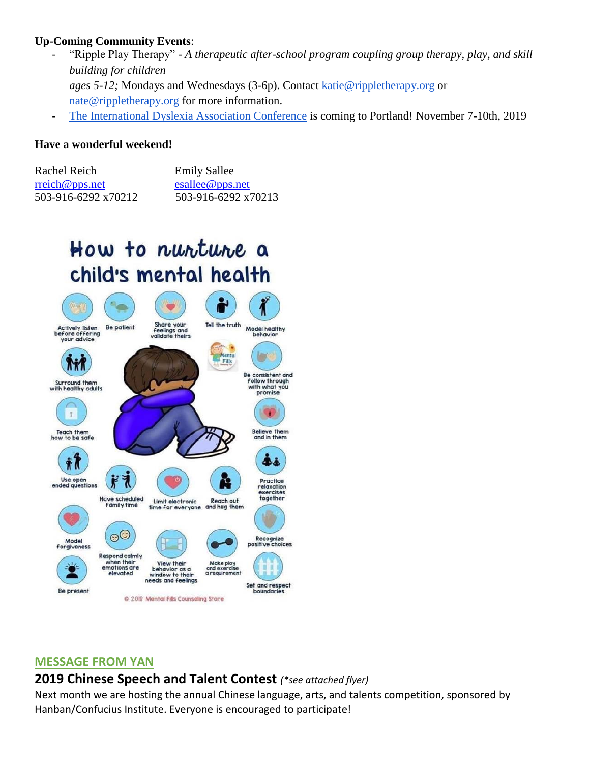# **Up-Coming Community Events**:

- "Ripple Play Therapy" *A therapeutic after-school program coupling group therapy, play, and skill building for children ages 5-12;* Mondays and Wednesdays (3-6p). Contact [katie@rippletherapy.org](mailto:katie@rippletherapy.org) or [nate@rippletherapy.org](mailto:nate@rippletherapy.org) for more information.
- [The International Dyslexia Association Conference](https://www.eiseverywhere.com/website/887/home/) is coming to Portland! November 7-10th, 2019

# **Have a wonderful weekend!**

| Rachel Reich        | <b>Emily Sallee</b>                       |
|---------------------|-------------------------------------------|
| rreich@pps.net      | $\text{esallee}\,\omega_{\text{pps.net}}$ |
| 503-916-6292 x70212 | 503-916-6292 x70213                       |

# How to nuntune a child's mental health



## **MESSAGE FROM YAN**

# **2019 Chinese Speech and Talent Contest** *(\*see attached flyer)*

Next month we are hosting the annual Chinese language, arts, and talents competition, sponsored by Hanban/Confucius Institute. Everyone is encouraged to participate!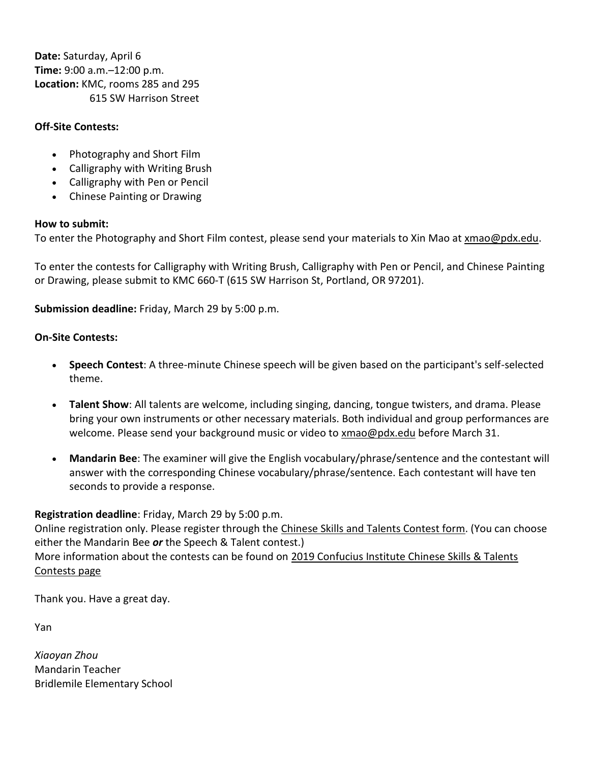**Date:** Saturday, April 6 **Time:** 9:00 a.m.–12:00 p.m. **Location:** KMC, rooms 285 and 295 615 SW Harrison Street

# **Off-Site Contests:**

- Photography and Short Film
- Calligraphy with Writing Brush
- Calligraphy with Pen or Pencil
- Chinese Painting or Drawing

## **How to submit:**

To enter the Photography and Short Film contest, please send your materials to Xin Mao at [xmao@pdx.edu.](https://t.e2ma.net/click/qlritd/e06y3r/adu6dnb)

To enter the contests for Calligraphy with Writing Brush, Calligraphy with Pen or Pencil, and Chinese Painting or Drawing, please submit to KMC 660-T (615 SW Harrison St, Portland, OR 97201).

**Submission deadline:** Friday, March 29 by 5:00 p.m.

## **On-Site Contests:**

- **Speech Contest**: A three-minute Chinese speech will be given based on the participant's self-selected theme.
- **Talent Show**: All talents are welcome, including singing, dancing, tongue twisters, and drama. Please bring your own instruments or other necessary materials. Both individual and group performances are welcome. Please send your background music or video to [xmao@pdx.edu](https://t.e2ma.net/click/qlritd/e06y3r/q5u6dnb) before March 31.
- **Mandarin Bee**: The examiner will give the English vocabulary/phrase/sentence and the contestant will answer with the corresponding Chinese vocabulary/phrase/sentence. Each contestant will have ten seconds to provide a response.

# **Registration deadline**: Friday, March 29 by 5:00 p.m.

Online registration only. Please register through the Chinese Skills [and Talents Contest form.](https://t.e2ma.net/click/qlritd/e06y3r/6xv6dnb) (You can choose either the Mandarin Bee *or* the Speech & Talent contest.) More information about the contests can be found on [2019 Confucius Institute Chinese Skills & Talents](https://t.e2ma.net/click/qlritd/e06y3r/mqw6dnb)  [Contests page](https://t.e2ma.net/click/qlritd/e06y3r/mqw6dnb)

Thank you. Have a great day.

Yan

*Xiaoyan Zhou* Mandarin Teacher Bridlemile Elementary School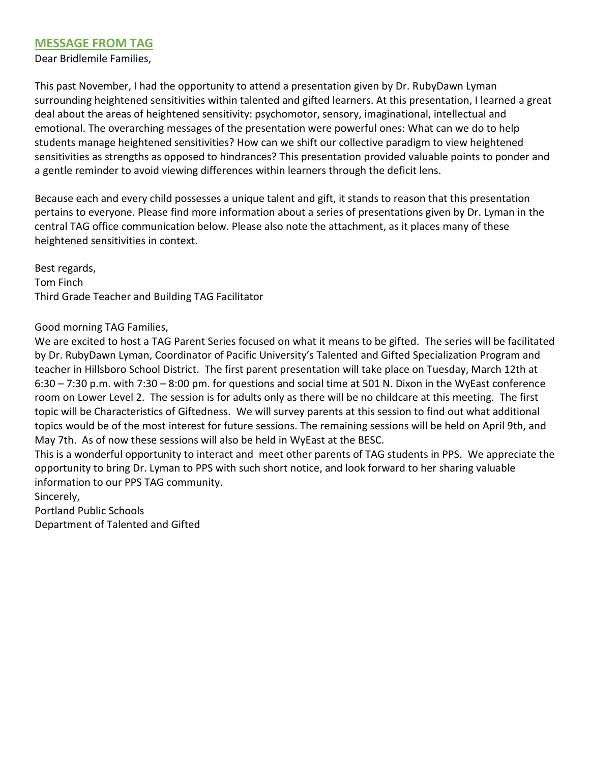# **MESSAGE FROM TAG**

Dear Bridlemile Families,

This past November, I had the opportunity to attend a presentation given by Dr. RubyDawn Lyman surrounding heightened sensitivities within talented and gifted learners. At this presentation, I learned a great deal about the areas of heightened sensitivity: psychomotor, sensory, imaginational, intellectual and emotional. The overarching messages of the presentation were powerful ones: What can we do to help students manage heightened sensitivities? How can we shift our collective paradigm to view heightened sensitivities as strengths as opposed to hindrances? This presentation provided valuable points to ponder and a gentle reminder to avoid viewing differences within learners through the deficit lens.

Because each and every child possesses a unique talent and gift, it stands to reason that this presentation pertains to everyone. Please find more information about a series of presentations given by Dr. Lyman in the central TAG office communication below. Please also note the attachment, as it places many of these heightened sensitivities in context.

Best regards, Tom Finch Third Grade Teacher and Building TAG Facilitator

## Good morning TAG Families,

We are excited to host a TAG Parent Series focused on what it means to be gifted. The series will be facilitated by Dr. RubyDawn Lyman, Coordinator of Pacific University's Talented and Gifted Specialization Program and teacher in Hillsboro School District. The first parent presentation will take place on Tuesday, March 12th at 6:30 – 7:30 p.m. with 7:30 – 8:00 pm. for questions and social time at 501 N. Dixon in the WyEast conference room on Lower Level 2. The session is for adults only as there will be no childcare at this meeting. The first topic will be Characteristics of Giftedness. We will survey parents at this session to find out what additional topics would be of the most interest for future sessions. The remaining sessions will be held on April 9th, and May 7th. As of now these sessions will also be held in WyEast at the BESC.

This is a wonderful opportunity to interact and meet other parents of TAG students in PPS. We appreciate the opportunity to bring Dr. Lyman to PPS with such short notice, and look forward to her sharing valuable information to our PPS TAG community.

Sincerely,

Portland Public Schools Department of Talented and Gifted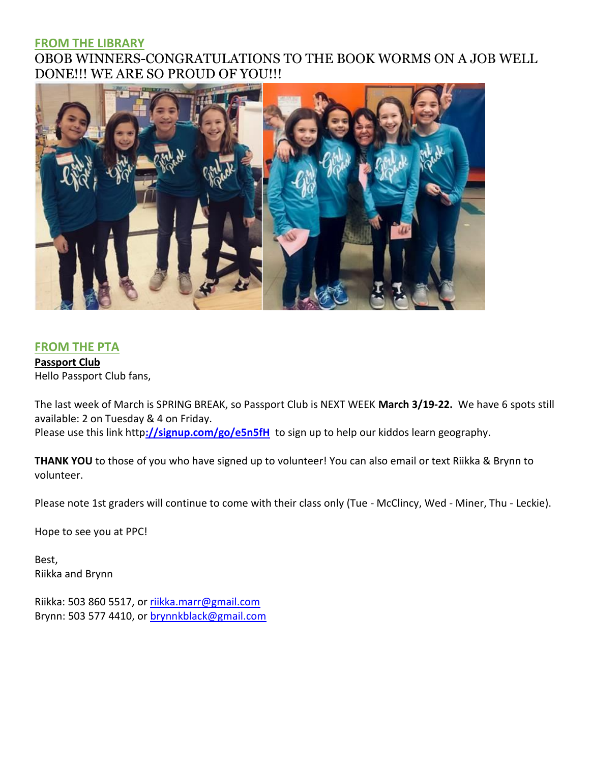# **FROM THE LIBRARY**

# OBOB WINNERS-CONGRATULATIONS TO THE BOOK WORMS ON A JOB WELL DONE!!! WE ARE SO PROUD OF YOU!!!



# **FROM THE PTA**

**Passport Club** Hello Passport Club fans,

The last week of March is SPRING BREAK, so Passport Club is NEXT WEEK **March 3/19-22.** We have 6 spots still available: 2 on Tuesday & 4 on Friday. Please use this link http**[://signup.com/go/e5n5fH](http://signup.com/go/e5n5fH)** to sign up to help our kiddos learn geography.

**THANK YOU** to those of you who have signed up to volunteer! You can also email or text Riikka & Brynn to volunteer.

Please note 1st graders will continue to come with their class only (Tue - McClincy, Wed - Miner, Thu - Leckie).

Hope to see you at PPC!

Best, Riikka and Brynn

Riikka: 503 860 5517, or [riikka.marr@gmail.com](mailto:riikka.marr@gmail.com) Brynn: 503 577 4410, or [brynnkblack@gmail.com](mailto:brynnkblack@gmail.com)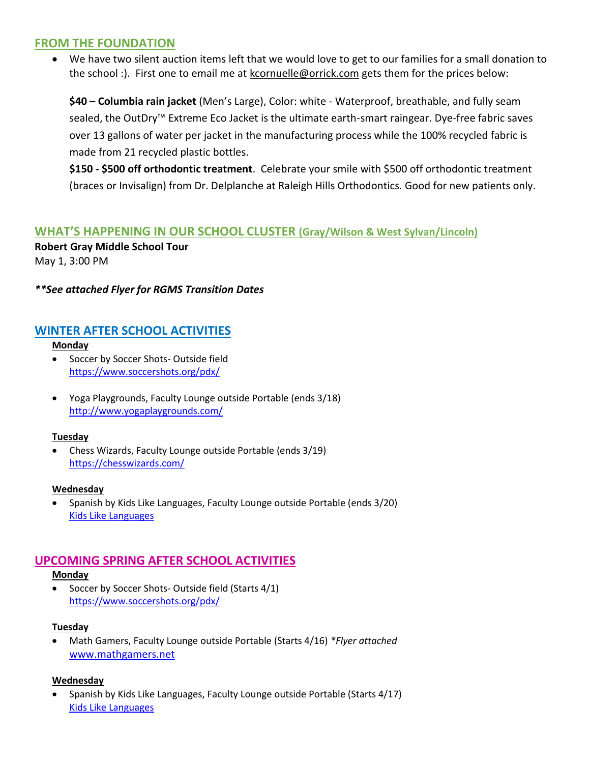# **FROM THE FOUNDATION**

 We have two silent auction items left that we would love to get to our families for a small donation to the school :). First one to email me at [kcornuelle@orrick.com](mailto:kcornuelle@orrick.com) gets them for the prices below:

**\$40 – Columbia rain jacket** (Men's Large), Color: white - Waterproof, breathable, and fully seam sealed, the OutDry™ Extreme Eco Jacket is the ultimate earth-smart raingear. Dye-free fabric saves over 13 gallons of water per jacket in the manufacturing process while the 100% recycled fabric is made from 21 recycled plastic bottles.

**\$150 - \$500 off orthodontic treatment**. Celebrate your smile with \$500 off orthodontic treatment (braces or Invisalign) from Dr. Delplanche at Raleigh Hills Orthodontics. Good for new patients only.

# **WHAT'S HAPPENING IN OUR SCHOOL CLUSTER (Gray/Wilson & West Sylvan/Lincoln)**

**Robert Gray Middle School Tour** May 1, 3:00 PM

## *\*\*See attached Flyer for RGMS Transition Dates*

# **WINTER AFTER SCHOOL ACTIVITIES**

**Monday**

- Soccer by Soccer Shots- Outside field <https://www.soccershots.org/pdx/>
- Yoga Playgrounds, Faculty Lounge outside Portable (ends 3/18) <http://www.yogaplaygrounds.com/>

#### **Tuesday**

 Chess Wizards, Faculty Lounge outside Portable (ends 3/19) <https://chesswizards.com/>

#### **Wednesday**

 Spanish by Kids Like Languages, Faculty Lounge outside Portable (ends 3/20) [Kids Like Languages](http://www.kidslikelanguages.com/)

# **UPCOMING SPRING AFTER SCHOOL ACTIVITIES**

#### **Monday**

• Soccer by Soccer Shots- Outside field (Starts 4/1) <https://www.soccershots.org/pdx/>

## **Tuesday**

 Math Gamers, Faculty Lounge outside Portable (Starts 4/16) *\*Flyer attached* [www.mathgamers.net](http://www.mathgamers.net/)

## **Wednesday**

 Spanish by Kids Like Languages, Faculty Lounge outside Portable (Starts 4/17) [Kids Like Languages](http://www.kidslikelanguages.com/)